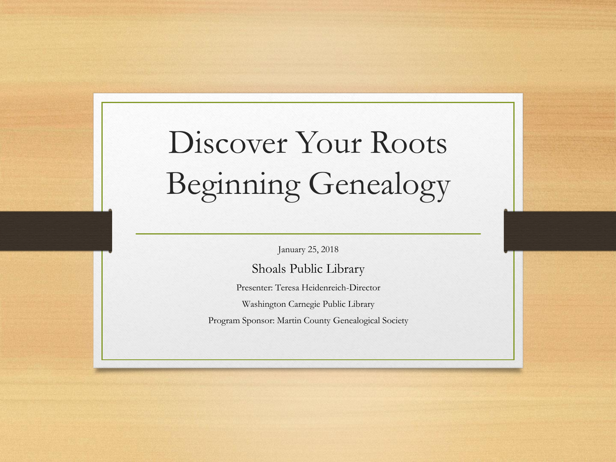# Discover Your Roots Beginning Genealogy

January 25, 2018

Shoals Public Library Presenter: Teresa Heidenreich-Director

Washington Carnegie Public Library

Program Sponsor: Martin County Genealogical Society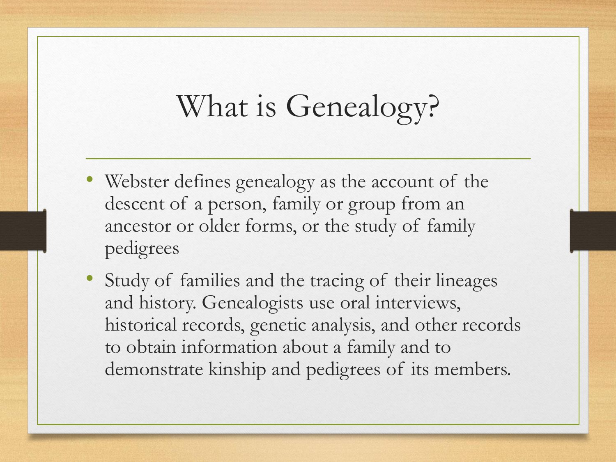## What is Genealogy?

- Webster defines genealogy as the account of the descent of a person, family or group from an ancestor or older forms, or the study of family pedigrees
- Study of families and the tracing of their lineages and history. Genealogists use oral interviews, historical records, genetic analysis, and other records to obtain information about a family and to demonstrate kinship and pedigrees of its members.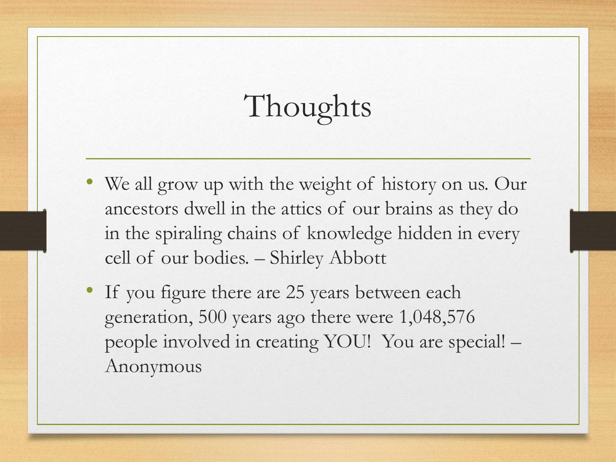# Thoughts

- We all grow up with the weight of history on us. Our ancestors dwell in the attics of our brains as they do in the spiraling chains of knowledge hidden in every cell of our bodies. – Shirley Abbott
- If you figure there are 25 years between each generation, 500 years ago there were 1,048,576 people involved in creating YOU! You are special! – Anonymous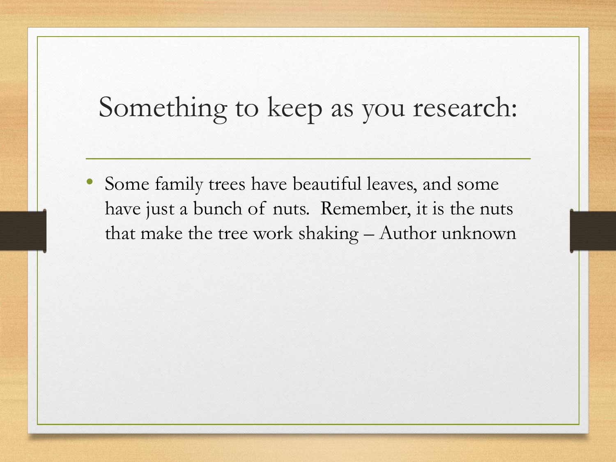#### Something to keep as you research:

Some family trees have beautiful leaves, and some have just a bunch of nuts. Remember, it is the nuts that make the tree work shaking – Author unknown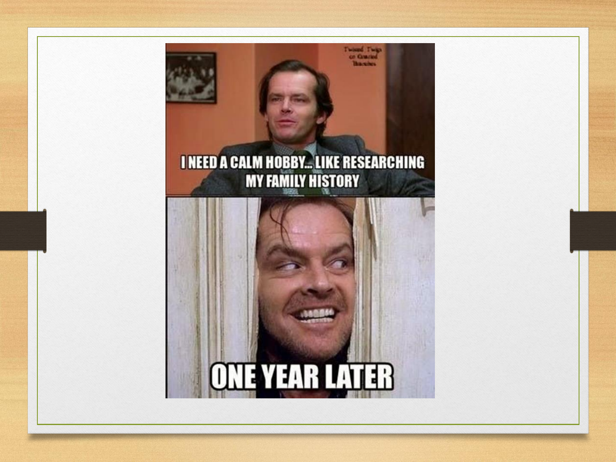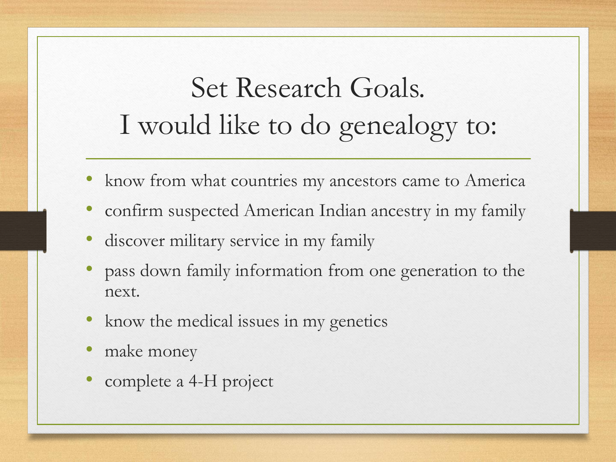## Set Research Goals. I would like to do genealogy to:

- know from what countries my ancestors came to America
- confirm suspected American Indian ancestry in my family
- discover military service in my family
- pass down family information from one generation to the next.
- know the medical issues in my genetics
- make money
- complete a 4-H project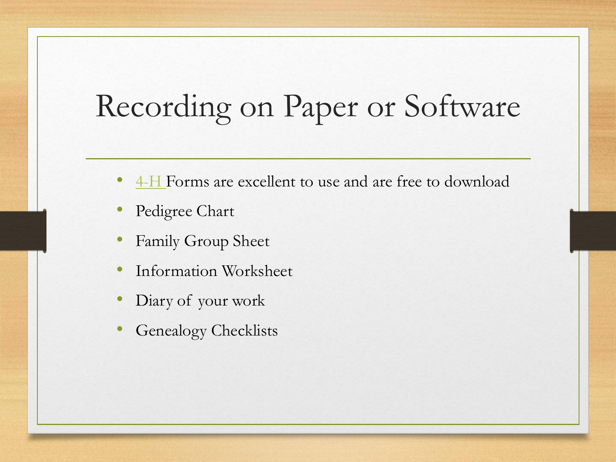## Recording on Paper or Software

- [4-H](https://extension.purdue.edu/4h/Pages/project.aspx?proj=42) Forms are excellent to use and are free to download
- Pedigree Chart
- Family Group Sheet
- Information Worksheet
- Diary of your work
- Genealogy Checklists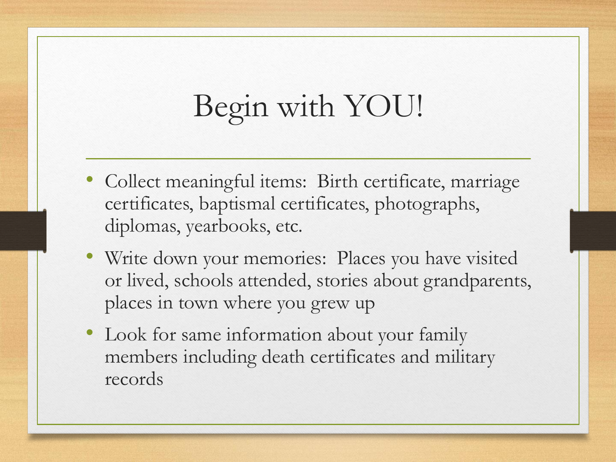## Begin with YOU!

- Collect meaningful items: Birth certificate, marriage certificates, baptismal certificates, photographs, diplomas, yearbooks, etc.
- Write down your memories: Places you have visited or lived, schools attended, stories about grandparents, places in town where you grew up
- Look for same information about your family members including death certificates and military records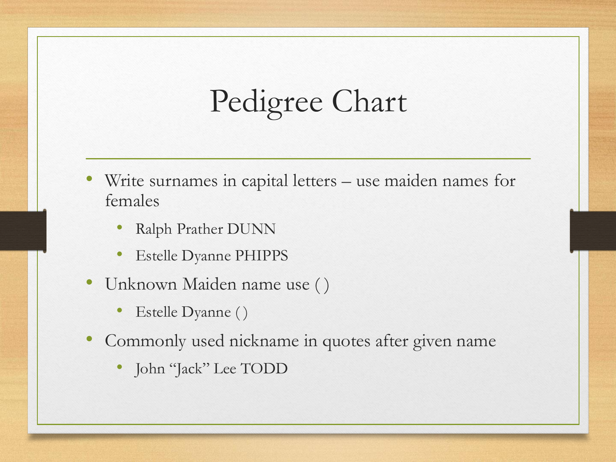## Pedigree Chart

- Write surnames in capital letters use maiden names for females
	- Ralph Prather DUNN
	- Estelle Dyanne PHIPPS
- Unknown Maiden name use ( )
	- Estelle Dyanne ( )
- Commonly used nickname in quotes after given name
	- John "Jack" Lee TODD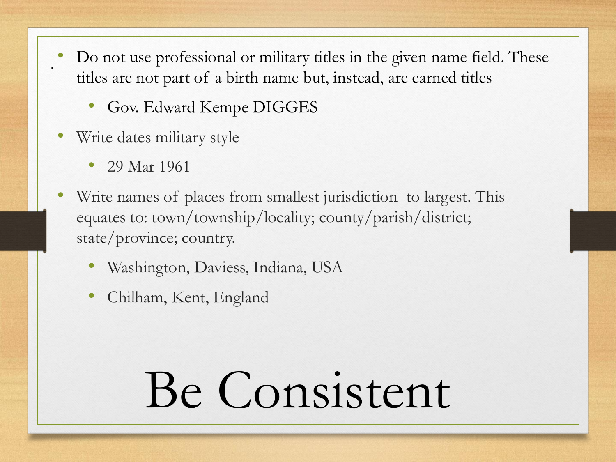- Do not use professional or military titles in the given name field. These titles are not part of a birth name but, instead, are earned titles
	- Gov. Edward Kempe DIGGES
- Write dates military style
	- 29 Mar 1961

.

- Write names of places from smallest jurisdiction to largest. This equates to: town/township/locality; county/parish/district; state/province; country.
	- Washington, Daviess, Indiana, USA
	- Chilham, Kent, England

# Be Consistent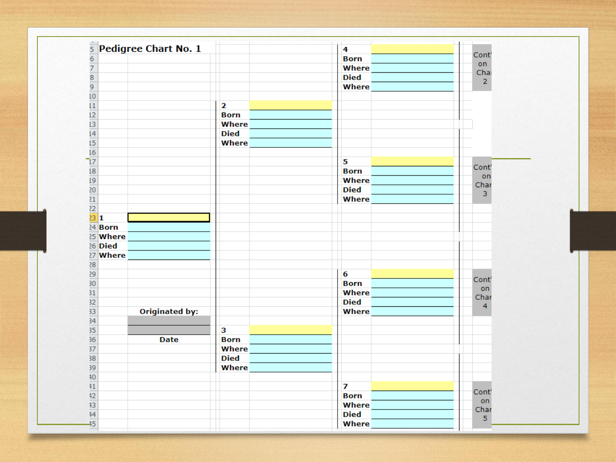| 5 Pedigree Chart No. 1                                |                         | 4           |                        |
|-------------------------------------------------------|-------------------------|-------------|------------------------|
|                                                       |                         | <b>Born</b> | Cont'                  |
| $rac{6}{7}$ $rac{7}{8}$ $rac{9}{9}$ $rac{10}{11}$     |                         | Where       | on                     |
|                                                       |                         | <b>Died</b> | Chai<br>$\overline{2}$ |
|                                                       |                         | Where       |                        |
|                                                       |                         |             |                        |
|                                                       | $\overline{\mathbf{2}}$ |             |                        |
| $\frac{12}{13}$<br>$\frac{14}{15}$                    | <b>Born</b>             |             |                        |
|                                                       | Where                   |             |                        |
|                                                       | <b>Died</b>             |             |                        |
|                                                       | Where                   |             |                        |
| $\overline{16}$                                       |                         |             |                        |
| $\overline{17}$                                       |                         | 5           |                        |
| 18                                                    |                         | <b>Born</b> | Cont'                  |
| 19                                                    |                         | Where       | on<br>Char             |
|                                                       |                         | <b>Died</b> | 3                      |
| $\frac{20}{21}$ $\frac{21}{22}$ $\frac{22}{23}$ $1$   |                         | Where       |                        |
|                                                       |                         |             |                        |
|                                                       |                         |             |                        |
| 24 Born                                               |                         |             |                        |
| 25 Where                                              |                         |             |                        |
| 26 Died                                               |                         |             |                        |
| 27 Where                                              |                         |             |                        |
|                                                       |                         |             |                        |
|                                                       |                         | 6           |                        |
| $\frac{28}{29}$ $\frac{29}{30}$ $\frac{30}{31}$       |                         | <b>Born</b> | Cont'                  |
|                                                       |                         | Where       | on<br>Char             |
| 32                                                    |                         | <b>Died</b> | 4                      |
| <b>Originated by:</b>                                 |                         | Where       |                        |
| $\frac{33}{34}$<br>$\frac{35}{35}$<br>$\frac{36}{37}$ |                         |             |                        |
|                                                       | $\overline{\mathbf{3}}$ |             |                        |
| <b>Date</b>                                           | <b>Born</b>             |             |                        |
|                                                       | Where                   |             |                        |
| $\begin{array}{r} 38 \\ 39 \\ 40 \end{array}$         | <b>Died</b>             |             |                        |
|                                                       | Where                   |             |                        |
|                                                       |                         |             |                        |
| $\overline{41}$                                       |                         | 7           |                        |
|                                                       |                         | <b>Born</b> | Cont'                  |
|                                                       |                         | Where       | on<br>Char             |
| $\frac{42}{13}$                                       |                         | <b>Died</b> | 5                      |
| 45                                                    |                         | Where       |                        |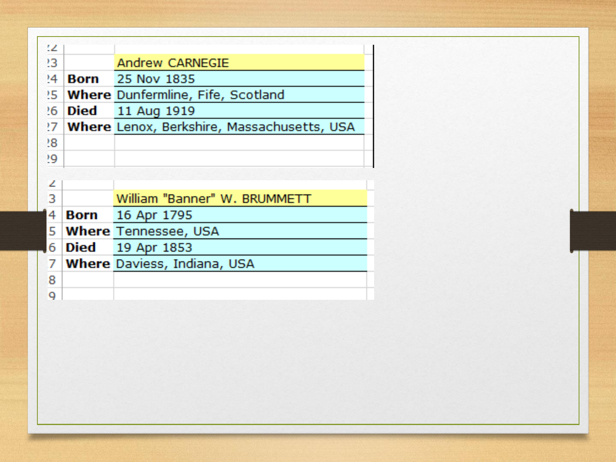|             | Andrew CARNEGIE                               |
|-------------|-----------------------------------------------|
| <b>Born</b> | 25 Nov 1835                                   |
|             | 25 Where Dunfermline, Fife, Scotland          |
| 26 Died     | 11 Aug 1919                                   |
|             | ?7 Where Lenox, Berkshire, Massachusetts, USA |
|             |                                               |
|             |                                               |
|             |                                               |
|             |                                               |
|             | William "Banner" W. BRUMMETT                  |
|             | <b>Born</b> 16 Apr 1795                       |
|             | <b>Where Tennessee, USA</b>                   |
|             | <b>Died</b> 19 Apr 1853                       |
|             | <b>Where Daviess, Indiana, USA</b>            |
|             |                                               |
|             |                                               |
|             |                                               |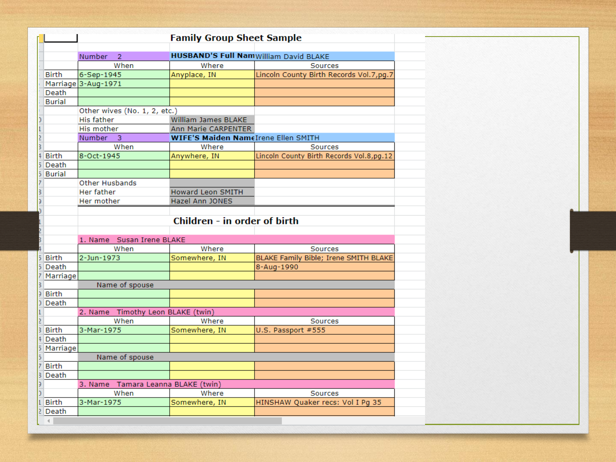|                | <b>Family Group Sheet Sample</b>   |                                            |                                               |  |  |
|----------------|------------------------------------|--------------------------------------------|-----------------------------------------------|--|--|
|                |                                    |                                            |                                               |  |  |
|                | <b>Number</b><br>$\overline{2}$    |                                            | <b>HUSBAND'S Full Nam</b> William David BLAKE |  |  |
|                | When                               | Where                                      | Sources                                       |  |  |
| <b>Birth</b>   | 6-Sep-1945                         | Anyplace, IN                               | Lincoln County Birth Records Vol.7,pg.7       |  |  |
|                | Marriage 3-Aug-1971                |                                            |                                               |  |  |
| Death          |                                    |                                            |                                               |  |  |
| <b>Burial</b>  |                                    |                                            |                                               |  |  |
|                | Other wives (No. 1, 2, etc.)       |                                            |                                               |  |  |
|                | His father                         | William James BLAKE                        |                                               |  |  |
| L              | His mother                         | Ann Marie CARPENTER                        |                                               |  |  |
| $\overline{2}$ | $\overline{3}$<br>Number           | <b>WIFE'S Maiden NameIrene Ellen SMITH</b> |                                               |  |  |
|                | When                               | Where                                      | Sources                                       |  |  |
| <b>Birth</b>   | 8-Oct-1945                         | Anywhere, IN                               | Lincoln County Birth Records Vol.8,pg.12      |  |  |
| Death          |                                    |                                            |                                               |  |  |
| <b>Burial</b>  |                                    |                                            |                                               |  |  |
|                | Other Husbands                     |                                            |                                               |  |  |
|                | Her father                         | <b>Howard Leon SMITH</b>                   |                                               |  |  |
|                | Her mother                         | Hazel Ann JONES                            |                                               |  |  |
|                |                                    |                                            |                                               |  |  |
|                |                                    | Children - in order of birth               |                                               |  |  |
|                |                                    |                                            |                                               |  |  |
|                | 1. Name Susan Irene BLAKE          |                                            |                                               |  |  |
|                | When                               | Where                                      | Sources                                       |  |  |
| <b>Birth</b>   | 2-Jun-1973                         | Somewhere, IN                              | BLAKE Family Bible; Irene SMITH BLAKE         |  |  |
| Death          |                                    |                                            | 8-Aug-1990                                    |  |  |
| Marriage       |                                    |                                            |                                               |  |  |
|                | Name of spouse                     |                                            |                                               |  |  |
| <b>Birth</b>   |                                    |                                            |                                               |  |  |
| Death          |                                    |                                            |                                               |  |  |
|                | 2. Name Timothy Leon BLAKE (twin)  |                                            |                                               |  |  |
|                | When                               | Where                                      | Sources                                       |  |  |
| <b>Birth</b>   | 3-Mar-1975                         | Somewhere, IN                              | U.S. Passport #555                            |  |  |
| Death          |                                    |                                            |                                               |  |  |
|                |                                    |                                            |                                               |  |  |
| Marriage       |                                    |                                            |                                               |  |  |
|                | Name of spouse                     |                                            |                                               |  |  |
| <b>Birth</b>   |                                    |                                            |                                               |  |  |
| Death          |                                    |                                            |                                               |  |  |
|                | 3. Name Tamara Leanna BLAKE (twin) |                                            |                                               |  |  |
|                | When                               | Where                                      | Sources                                       |  |  |
| <b>Birth</b>   | 3-Mar-1975                         | Somewhere, IN                              | HINSHAW Quaker recs: Vol I Pg 35              |  |  |
| Death          |                                    |                                            |                                               |  |  |
| $\overline{4}$ |                                    |                                            |                                               |  |  |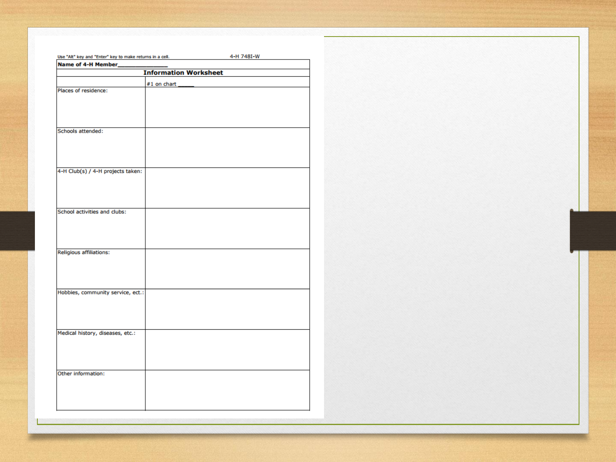| Use "Alt" key and "Enter" key to make returns in a cell. |                    | 4-H 748I-W |  |  |  |  |
|----------------------------------------------------------|--------------------|------------|--|--|--|--|
| Name of 4-H Member_                                      |                    |            |  |  |  |  |
| <b>Information Worksheet</b>                             |                    |            |  |  |  |  |
|                                                          | $#1$ on chart $\_$ |            |  |  |  |  |
| Places of residence:                                     |                    |            |  |  |  |  |
| <b>Schools attended:</b>                                 |                    |            |  |  |  |  |
| 4-H Club(s) / 4-H projects taken:                        |                    |            |  |  |  |  |
| School activities and clubs:                             |                    |            |  |  |  |  |
| <b>Religious affiliations:</b>                           |                    |            |  |  |  |  |
| Hobbies, community service, ect.:                        |                    |            |  |  |  |  |
| Medical history, diseases, etc.:                         |                    |            |  |  |  |  |
| Other information:                                       |                    |            |  |  |  |  |
|                                                          |                    |            |  |  |  |  |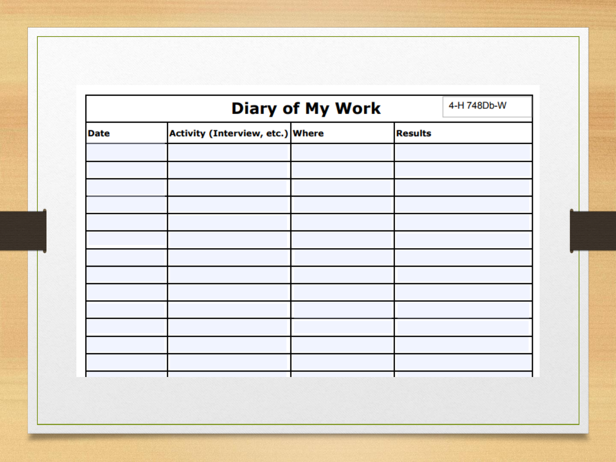|             | 4-H 748Db-W                      |                |  |
|-------------|----------------------------------|----------------|--|
| <b>Date</b> | Activity (Interview, etc.) Where | <b>Results</b> |  |
|             |                                  |                |  |
|             |                                  |                |  |
|             |                                  |                |  |
|             |                                  |                |  |
|             |                                  |                |  |
|             |                                  |                |  |
|             |                                  |                |  |
|             |                                  |                |  |
|             |                                  |                |  |
|             |                                  |                |  |
|             |                                  |                |  |
|             |                                  |                |  |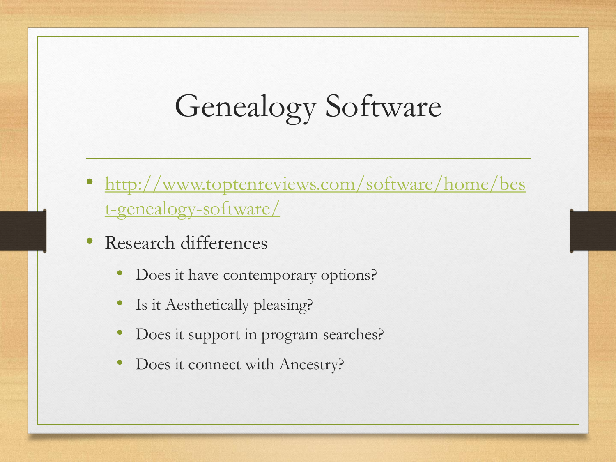## Genealogy Software

- [http://www.toptenreviews.com/software/home/bes](http://www.toptenreviews.com/software/home/best-genealogy-software/) t-genealogy-software/
- Research differences
	- Does it have contemporary options?
	- Is it Aesthetically pleasing?
	- Does it support in program searches?
	- Does it connect with Ancestry?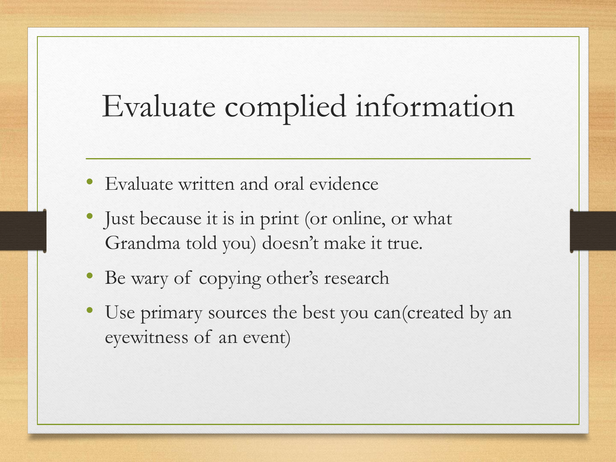## Evaluate complied information

- Evaluate written and oral evidence
- Just because it is in print (or online, or what Grandma told you) doesn't make it true.
- Be wary of copying other's research
- Use primary sources the best you can (created by an eyewitness of an event)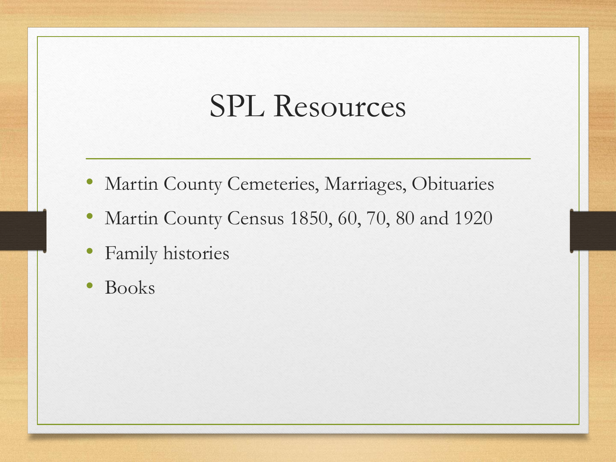#### SPL Resources

- Martin County Cemeteries, Marriages, Obituaries
- Martin County Census 1850, 60, 70, 80 and 1920
- Family histories
- Books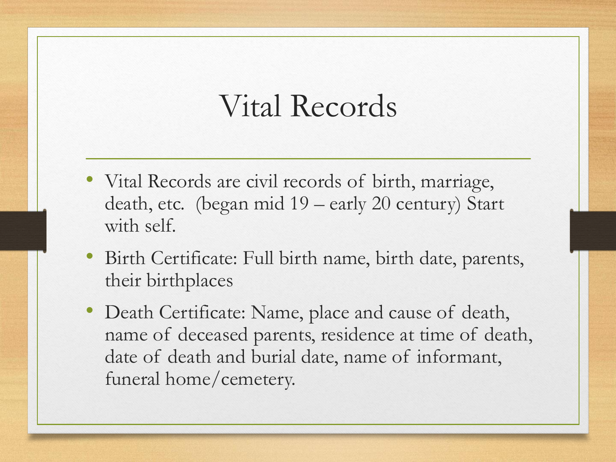#### Vital Records

- Vital Records are civil records of birth, marriage, death, etc. (began mid 19 – early 20 century) Start with self.
- Birth Certificate: Full birth name, birth date, parents, their birthplaces
- Death Certificate: Name, place and cause of death, name of deceased parents, residence at time of death, date of death and burial date, name of informant, funeral home/cemetery.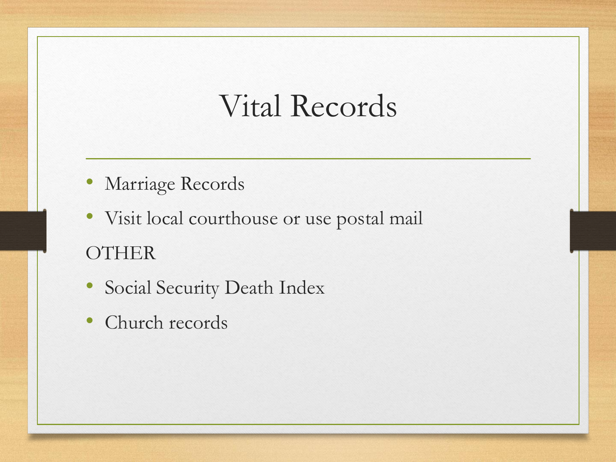#### Vital Records

- Marriage Records
- Visit local courthouse or use postal mail **OTHER**
- Social Security Death Index
- Church records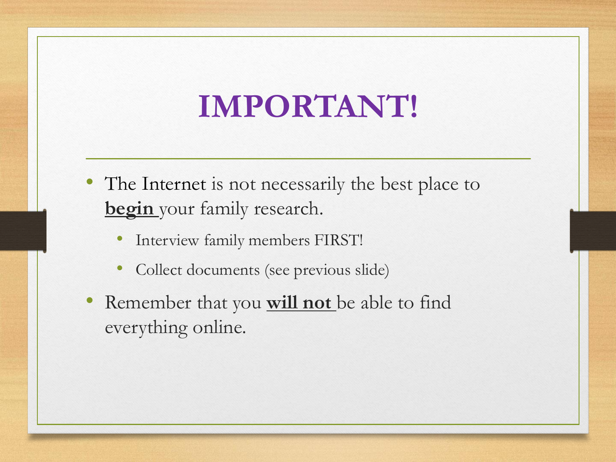## **IMPORTANT!**

- The Internet is not necessarily the best place to **begin** your family research.
	- Interview family members FIRST!
	- Collect documents (see previous slide)
- Remember that you **will not** be able to find everything online.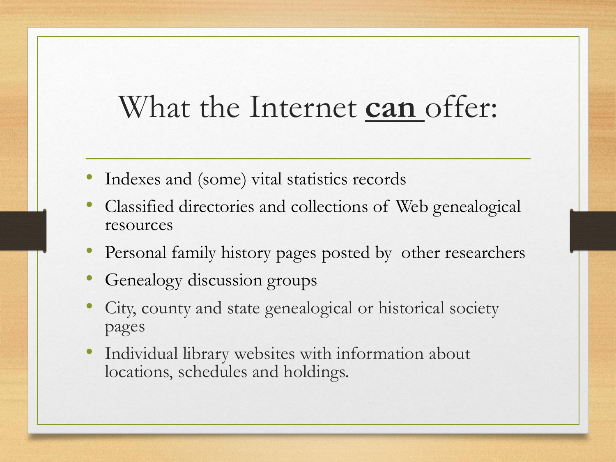## What the Internet **can** offer:

- Indexes and (some) vital statistics records
- Classified directories and collections of Web genealogical resources
- Personal family history pages posted by other researchers
- Genealogy discussion groups
- City, county and state genealogical or historical society pages
- Individual library websites with information about locations, schedules and holdings.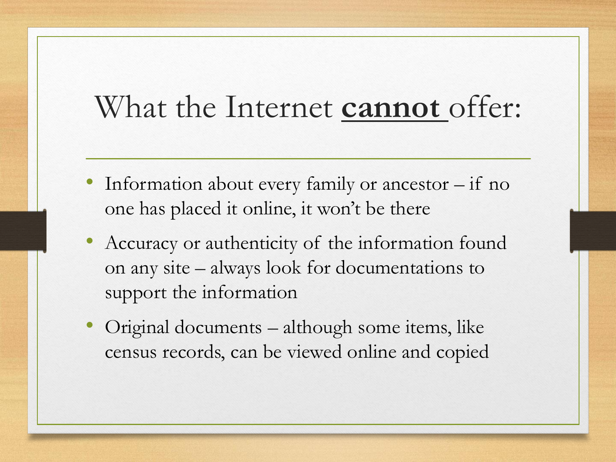#### What the Internet **cannot** offer:

- Information about every family or ancestor  $-$  if no one has placed it online, it won't be there
- Accuracy or authenticity of the information found on any site – always look for documentations to support the information
- Original documents although some items, like census records, can be viewed online and copied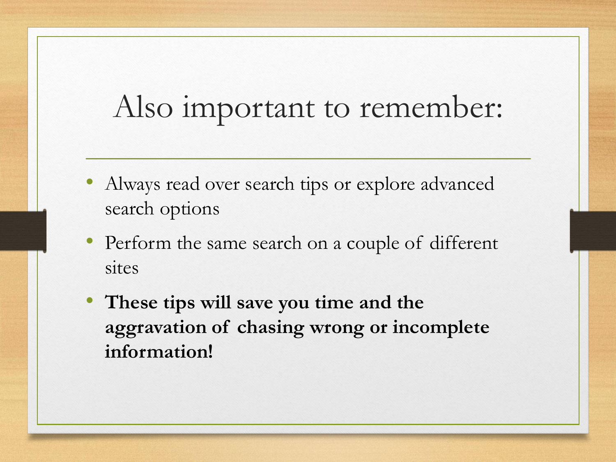#### Also important to remember:

- Always read over search tips or explore advanced search options
- Perform the same search on a couple of different sites
- **These tips will save you time and the aggravation of chasing wrong or incomplete information!**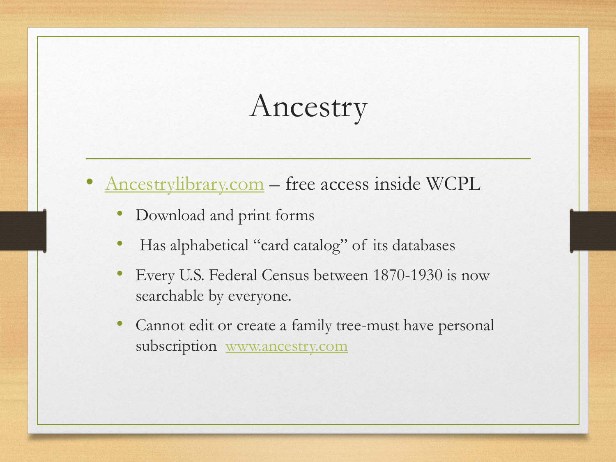## Ancestry

- [Ancestrylibrary.com](https://www.ancestrylibrary.com/) free access inside WCPL
	- Download and print forms
	- Has alphabetical "card catalog" of its databases
	- Every U.S. Federal Census between 1870-1930 is now searchable by everyone.
	- Cannot edit or create a family tree-must have personal subscription [www.ancestry.com](http://www.ancestry.com/)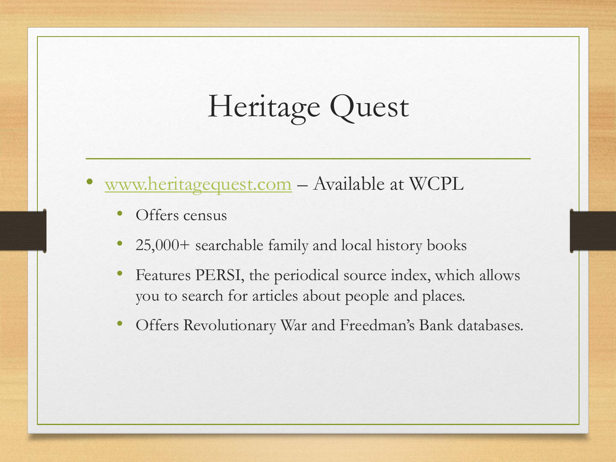## Heritage Quest

- [www.heritagequest.com](http://www.heritagequest.com/) Available at WCPL
	- Offers census
	- 25,000+ searchable family and local history books
	- Features PERSI, the periodical source index, which allows you to search for articles about people and places.
	- Offers Revolutionary War and Freedman's Bank databases.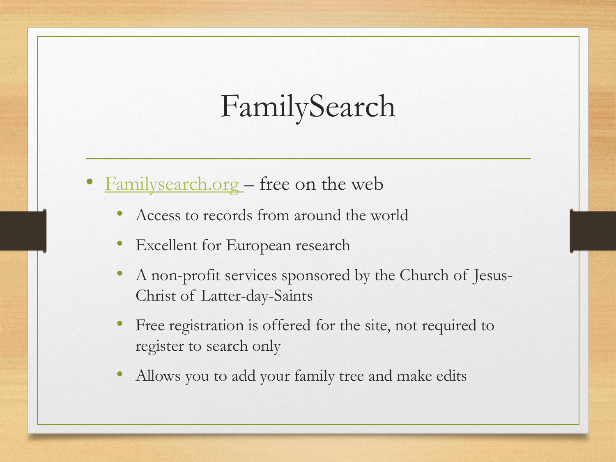## FamilySearch

- **Familysearch.org** free on the web
	- Access to records from around the world
	- Excellent for European research
	- A non-profit services sponsored by the Church of Jesus-Christ of Latter-day-Saints
	- Free registration is offered for the site, not required to register to search only
	- Allows you to add your family tree and make edits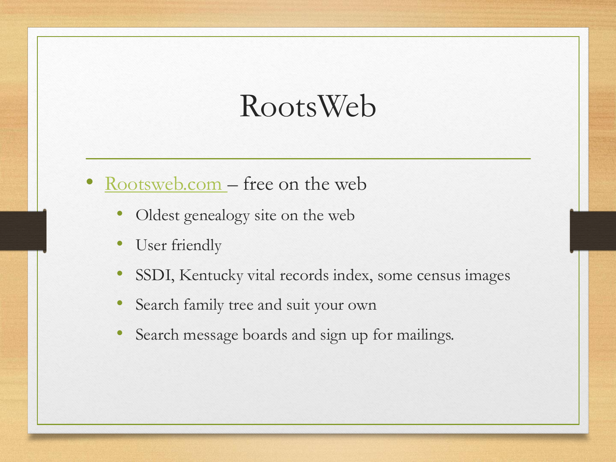#### RootsWeb

- [Rootsweb.com](http://www.rootsweb.com/)  free on the web
	- Oldest genealogy site on the web
	- User friendly
	- SSDI, Kentucky vital records index, some census images
	- Search family tree and suit your own
	- Search message boards and sign up for mailings.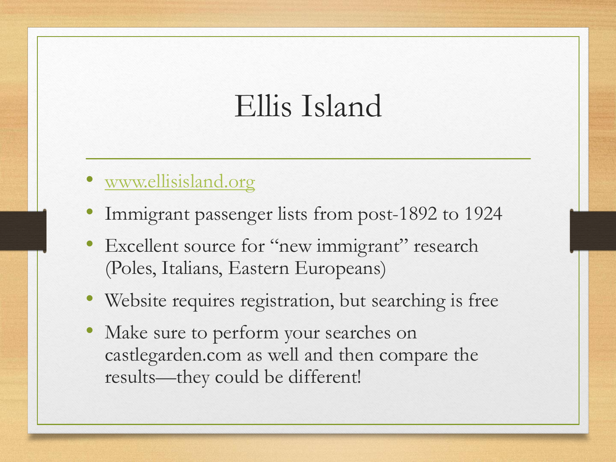#### Ellis Island

- [www.ellisisland.org](http://www.ellisisland.org/)
- Immigrant passenger lists from post-1892 to 1924
- Excellent source for "new immigrant" research (Poles, Italians, Eastern Europeans)
- Website requires registration, but searching is free
- Make sure to perform your searches on castlegarden.com as well and then compare the results—they could be different!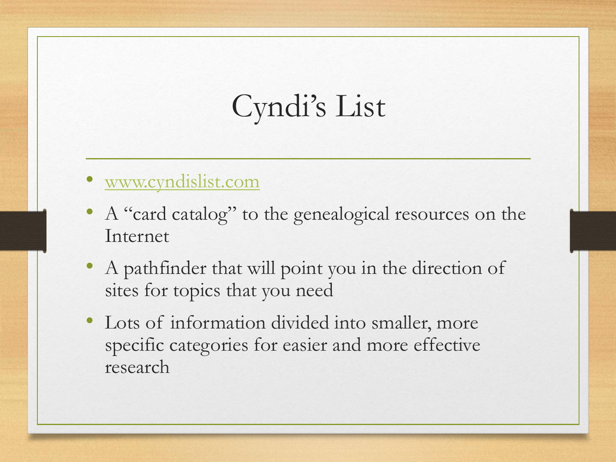## Cyndi's List

- [www.cyndislist.com](http://www.cyndislist.com/)
- A "card catalog" to the genealogical resources on the Internet
- A pathfinder that will point you in the direction of sites for topics that you need
- Lots of information divided into smaller, more specific categories for easier and more effective research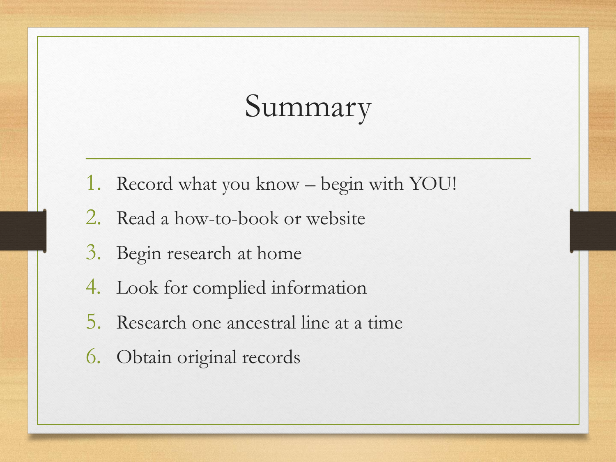#### Summary

- 1. Record what you know begin with YOU!
- 2. Read a how-to-book or website
- 3. Begin research at home
- 4. Look for complied information
- 5. Research one ancestral line at a time
- 6. Obtain original records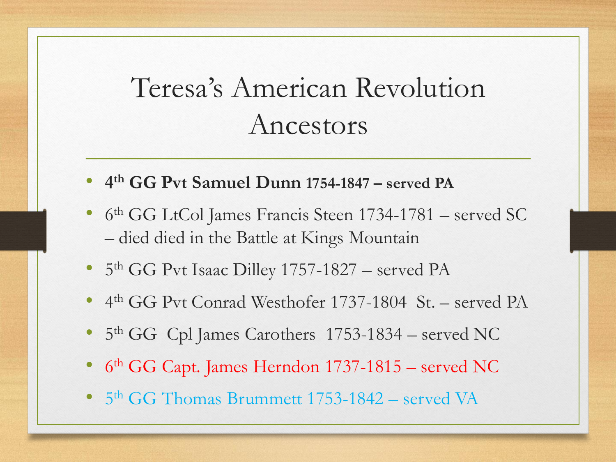#### Teresa's American Revolution Ancestors

- **4 th GG Pvt Samuel Dunn 1754-1847 – served PA**
- 6 th GG LtCol James Francis Steen 1734-1781 served SC – died died in the Battle at Kings Mountain
- 5<sup>th</sup> GG Pvt Isaac Dilley 1757-1827 served PA
- 4 th GG Pvt Conrad Westhofer 1737-1804 St. served PA
- 5<sup>th</sup> GG Cpl James Carothers 1753-1834 served NC
- 6<sup>th</sup> GG Capt. James Herndon 1737-1815 served NC
- 5<sup>th</sup> GG Thomas Brummett 1753-1842 served VA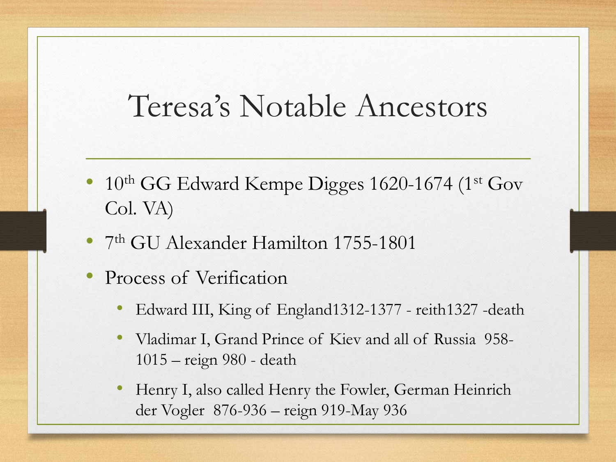#### Teresa's Notable Ancestors

- 10<sup>th</sup> GG Edward Kempe Digges 1620-1674 (1<sup>st</sup> Gov Col. VA)
- 7 th GU Alexander Hamilton 1755-1801
- Process of Verification
	- Edward III, King of England1312-1377 reith1327 -death
	- Vladimar I, Grand Prince of Kiev and all of Russia 958- 1015 – reign 980 - death
	- Henry I, also called Henry the Fowler, German Heinrich der Vogler 876-936 – reign 919-May 936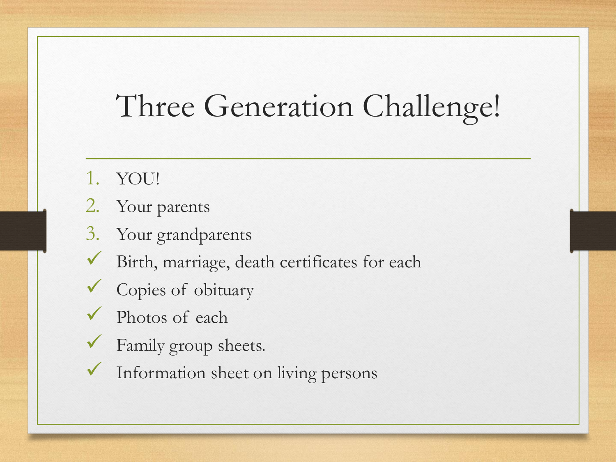## Three Generation Challenge!

- 1. YOU!
- 2. Your parents
- 3. Your grandparents
- Birth, marriage, death certificates for each
- Copies of obituary
- Photos of each
- Family group sheets.
- Information sheet on living persons